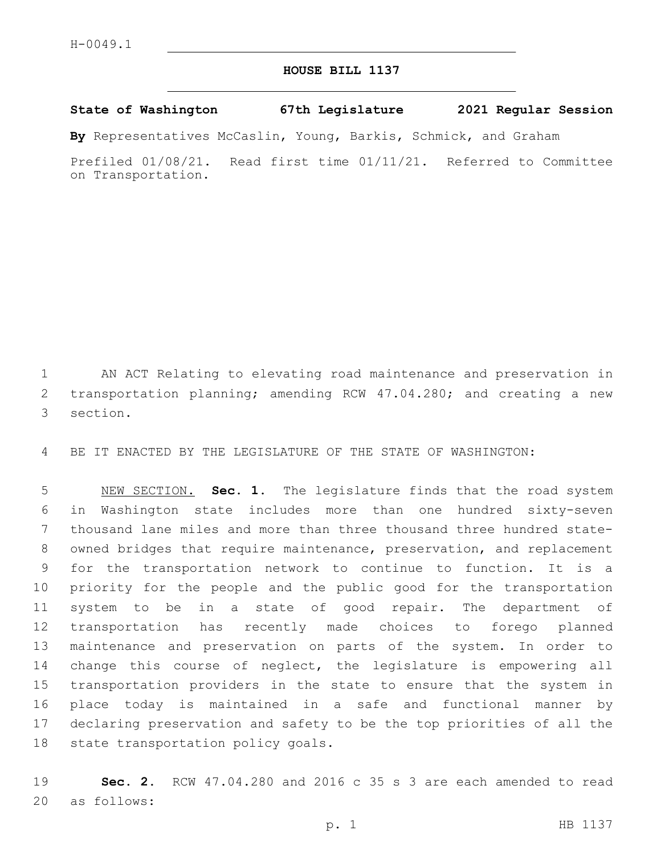## **HOUSE BILL 1137**

## **State of Washington 67th Legislature 2021 Regular Session**

**By** Representatives McCaslin, Young, Barkis, Schmick, and Graham

Prefiled 01/08/21. Read first time 01/11/21. Referred to Committee on Transportation.

 AN ACT Relating to elevating road maintenance and preservation in 2 transportation planning; amending RCW 47.04.280; and creating a new 3 section.

BE IT ENACTED BY THE LEGISLATURE OF THE STATE OF WASHINGTON:

 NEW SECTION. **Sec. 1.** The legislature finds that the road system in Washington state includes more than one hundred sixty-seven thousand lane miles and more than three thousand three hundred state- owned bridges that require maintenance, preservation, and replacement for the transportation network to continue to function. It is a priority for the people and the public good for the transportation system to be in a state of good repair. The department of transportation has recently made choices to forego planned maintenance and preservation on parts of the system. In order to change this course of neglect, the legislature is empowering all transportation providers in the state to ensure that the system in place today is maintained in a safe and functional manner by declaring preservation and safety to be the top priorities of all the state transportation policy goals.

 **Sec. 2.** RCW 47.04.280 and 2016 c 35 s 3 are each amended to read 20 as follows: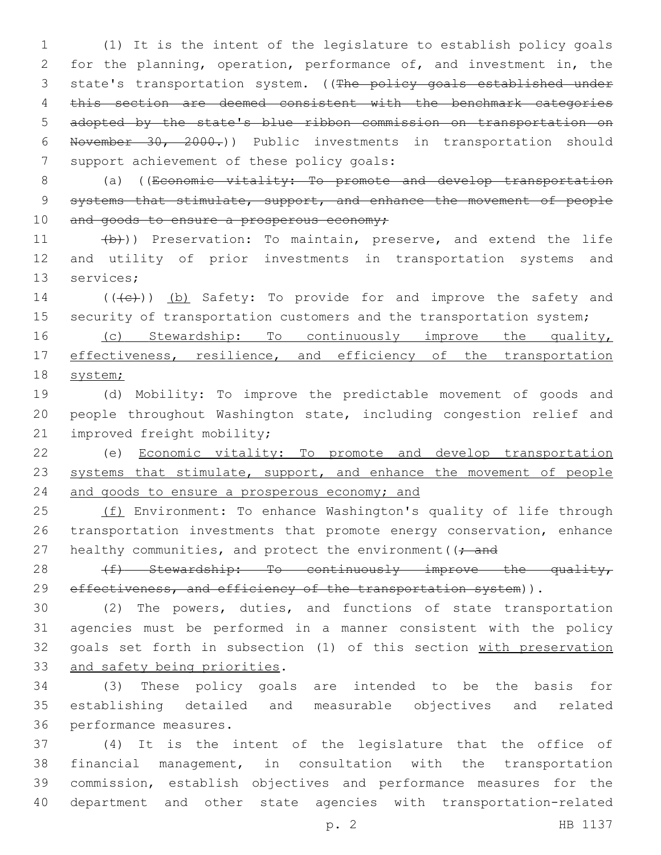(1) It is the intent of the legislature to establish policy goals for the planning, operation, performance of, and investment in, the 3 state's transportation system. ((The policy goals established under this section are deemed consistent with the benchmark categories adopted by the state's blue ribbon commission on transportation on November 30, 2000.)) Public investments in transportation should 7 support achievement of these policy goals:

8 (a) ((Economic vitality: To promote and develop transportation 9 systems that stimulate, support, and enhance the movement of people 10 and goods to ensure a prosperous economy;

11 (b)) Preservation: To maintain, preserve, and extend the life 12 and utility of prior investments in transportation systems and 13 services;

14 (((e)) (b) Safety: To provide for and improve the safety and 15 security of transportation customers and the transportation system;

16 (c) Stewardship: To continuously improve the quality, 17 effectiveness, resilience, and efficiency of the transportation 18 system;

19 (d) Mobility: To improve the predictable movement of goods and 20 people throughout Washington state, including congestion relief and 21 improved freight mobility;

22 (e) Economic vitality: To promote and develop transportation 23 systems that stimulate, support, and enhance the movement of people 24 and goods to ensure a prosperous economy; and

25 (f) Environment: To enhance Washington's quality of life through 26 transportation investments that promote energy conservation, enhance 27 healthy communities, and protect the environment ( $\rightarrow$  and

28 (f) Stewardship: To continuously improve the quality, 29 effectiveness, and efficiency of the transportation system)).

 (2) The powers, duties, and functions of state transportation agencies must be performed in a manner consistent with the policy goals set forth in subsection (1) of this section with preservation 33 and safety being priorities.

34 (3) These policy goals are intended to be the basis for 35 establishing detailed and measurable objectives and related 36 performance measures.

 (4) It is the intent of the legislature that the office of financial management, in consultation with the transportation commission, establish objectives and performance measures for the department and other state agencies with transportation-related